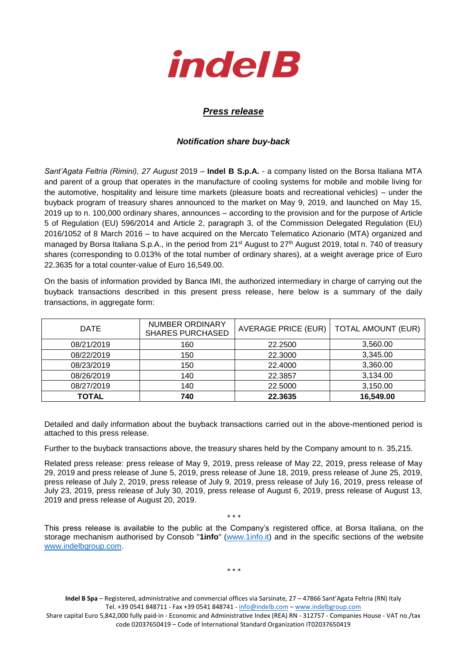

## *Press release*

## *Notification share buy-back*

*Sant'Agata Feltria (Rimini), 27 August* 2019 – **Indel B S.p.A.** - a company listed on the Borsa Italiana MTA and parent of a group that operates in the manufacture of cooling systems for mobile and mobile living for the automotive, hospitality and leisure time markets (pleasure boats and recreational vehicles) – under the buyback program of treasury shares announced to the market on May 9, 2019, and launched on May 15, 2019 up to n. 100,000 ordinary shares, announces – according to the provision and for the purpose of Article 5 of Regulation (EU) 596/2014 and Article 2, paragraph 3, of the Commission Delegated Regulation (EU) 2016/1052 of 8 March 2016 – to have acquired on the Mercato Telematico Azionario (MTA) organized and managed by Borsa Italiana S.p.A., in the period from 21<sup>st</sup> August to 27<sup>th</sup> August 2019, total n. 740 of treasury shares (corresponding to 0.013% of the total number of ordinary shares), at a weight average price of Euro 22.3635 for a total counter-value of Euro 16,549.00.

On the basis of information provided by Banca IMI, the authorized intermediary in charge of carrying out the buyback transactions described in this present press release, here below is a summary of the daily transactions, in aggregate form:

| <b>DATE</b>  | <b>NUMBER ORDINARY</b><br><b>SHARES PURCHASED</b> | <b>AVERAGE PRICE (EUR)</b> | <b>TOTAL AMOUNT (EUR)</b> |
|--------------|---------------------------------------------------|----------------------------|---------------------------|
| 08/21/2019   | 160                                               | 22,2500                    | 3,560.00                  |
| 08/22/2019   | 150                                               | 22.3000                    | 3,345.00                  |
| 08/23/2019   | 150                                               | 22.4000                    | 3,360.00                  |
| 08/26/2019   | 140                                               | 22.3857                    | 3,134.00                  |
| 08/27/2019   | 140                                               | 22.5000                    | 3,150.00                  |
| <b>TOTAL</b> | 740                                               | 22.3635                    | 16,549.00                 |

Detailed and daily information about the buyback transactions carried out in the above-mentioned period is attached to this press release.

Further to the buyback transactions above, the treasury shares held by the Company amount to n. 35,215.

Related press release: press release of May 9, 2019, press release of May 22, 2019, press release of May 29, 2019 and press release of June 5, 2019, press release of June 18, 2019, press release of June 25, 2019, press release of July 2, 2019, press release of July 9, 2019, press release of July 16, 2019, press release of July 23, 2019, press release of July 30, 2019, press release of August 6, 2019, press release of August 13, 2019 and press release of August 20, 2019.

This press release is available to the public at the Company's registered office, at Borsa Italiana, on the storage mechanism authorised by Consob "**1info**" [\(www.1info.it\)](file:///C:/Users/ddelietovollaro/AppData/Local/Microsoft/Windows/INetCache/Content.Outlook/T87B94UR/www.1info.it) and in the specific sections of the website [www.indelbgroup.com.](http://www.indelbgroup.com/)

\* \* \*

\* \* \*

**Indel B Spa** – Registered, administrative and commercial offices via Sarsinate, 27 – 47866 Sant'Agata Feltria (RN) Italy Tel. +39 0541 848711 - Fax +39 0541 848741 - [info@indelb.com](mailto:info@indelb.com) – [www.indelbgroup.com](http://www.indelbgroup.com/)

Share capital Euro 5,842,000 fully paid-in - Economic and Administrative Index (REA) RN - 312757 - Companies House - VAT no./tax code 02037650419 – Code of International Standard Organization IT02037650419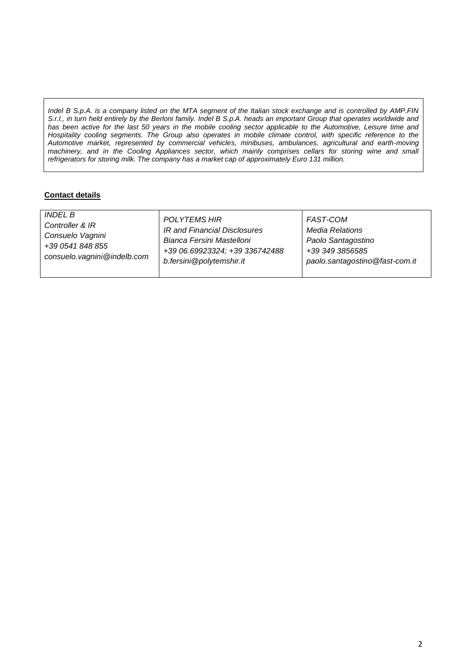*Indel B S.p.A. is a company listed on the MTA segment of the Italian stock exchange and is controlled by AMP.FIN S.r.l., in turn held entirely by the Berloni family. Indel B S.p.A. heads an important Group that operates worldwide and has been active for the last 50 years in the mobile cooling sector applicable to the Automotive, Leisure time and Hospitality cooling segments. The Group also operates in mobile climate control, with specific reference to the Automotive market, represented by commercial vehicles, minibuses, ambulances, agricultural and earth-moving*  machinery, and in the Cooling Appliances sector, which mainly comprises cellars for storing wine and small *refrigerators for storing milk. The company has a market cap of approximately Euro 131 million.*

## **Contact details**

| <i>INDEL B</i>              | <b>POLYTEMS HIR</b>            | FAST-COM                       |
|-----------------------------|--------------------------------|--------------------------------|
| Controller & IR             | IR and Financial Disclosures   | <b>Media Relations</b>         |
| Consuelo Vagnini            | Bianca Fersini Mastelloni      | Paolo Santagostino             |
| +39 0541 848 855            | +39 06.69923324; +39 336742488 | +39 349 3856585                |
| consuelo.vagnini@indelb.com | b.fersini@polytemshir.it       | paolo.santagostino@fast-com.it |
|                             |                                |                                |